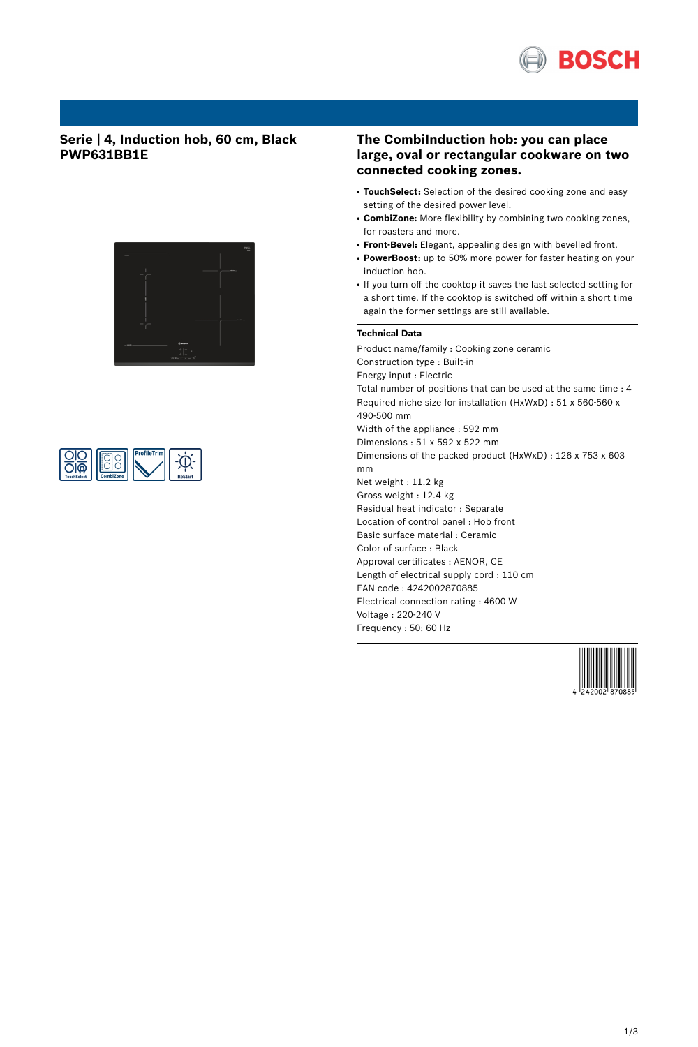

## **Serie | 4, Induction hob, 60 cm, Black PWP631BB1E**





## **The CombiInduction hob: you can place large, oval or rectangular cookware on two connected cooking zones.**

- TouchSelect: Selection of the desired cooking zone and easy setting of the desired power level.
- **CombiZone:** More flexibility by combining two cooking zones, for roasters and more.
- **Front-Bevel:** Elegant, appealing design with bevelled front.
- PowerBoost: up to 50% more power for faster heating on your induction hob.
- If you turn off the cooktop it saves the last selected setting for a short time. If the cooktop is switched off within a short time again the former settings are still available.

### **Technical Data**

Product name/family : Cooking zone ceramic Construction type : Built-in Energy input : Electric Total number of positions that can be used at the same time : 4 Required niche size for installation (HxWxD) : 51 x 560-560 x 490-500 mm Width of the appliance : 592 mm Dimensions : 51 x 592 x 522 mm Dimensions of the packed product (HxWxD) : 126 x 753 x 603 mm Net weight : 11.2 kg Gross weight : 12.4 kg Residual heat indicator : Separate Location of control panel : Hob front Basic surface material : Ceramic Color of surface : Black Approval certificates : AENOR, CE Length of electrical supply cord : 110 cm EAN code : 4242002870885 Electrical connection rating : 4600 W Voltage : 220-240 V Frequency : 50; 60 Hz

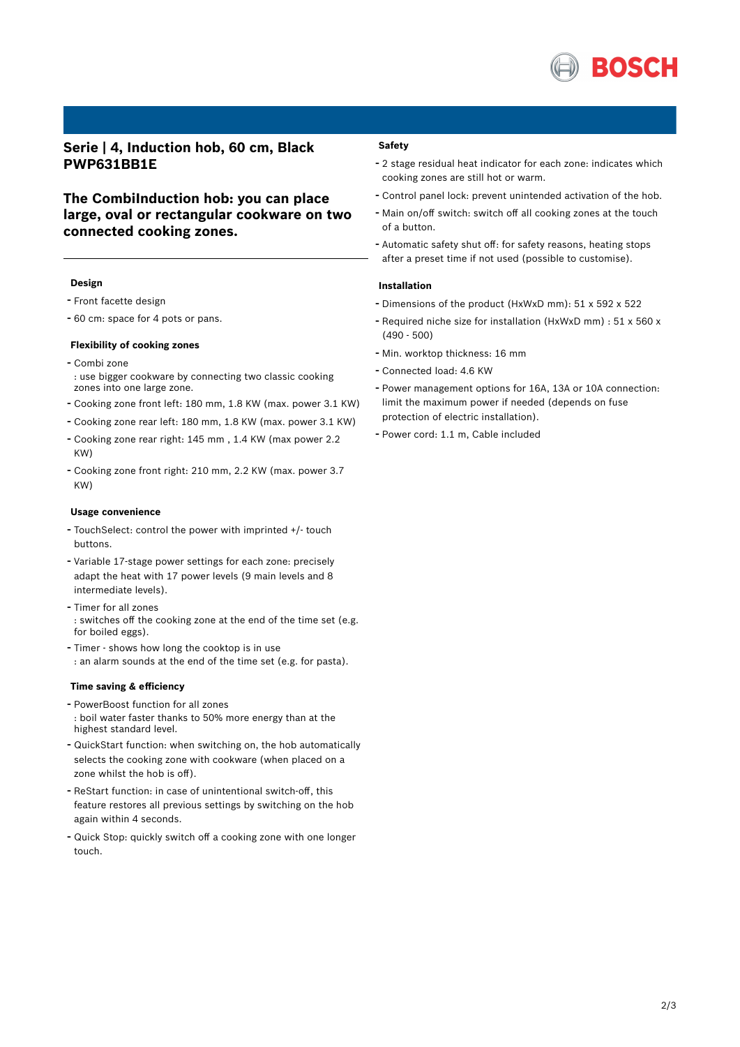

## **Serie | 4, Induction hob, 60 cm, Black PWP631BB1E**

# **The CombiInduction hob: you can place large, oval or rectangular cookware on two connected cooking zones.**

#### **Design**

- Front facette design
- <sup>60</sup> cm: space for <sup>4</sup> pots or pans.

## **Flexibility of cooking zones**

- Combi zone : use bigger cookware by connecting two classic cooking zones into one large zone.
- Cooking zone front left: <sup>180</sup> mm, 1.8 KW (max. power 3.1 KW)
- Cooking zone rear left: <sup>180</sup> mm, 1.8 KW (max. power 3.1 KW)
- Cooking zone rear right: <sup>145</sup> mm , 1.4 KW (max power 2.2 KW)
- Cooking zone front right: <sup>210</sup> mm, 2.2 KW (max. power 3.7 KW)

#### **Usage convenience**

- TouchSelect: control the power with imprinted +/- touch buttons.
- Variable 17-stage power settings for each zone: precisely adapt the heat with 17 power levels (9 main levels and 8 intermediate levels).
- Timer for all zones : switches off the cooking zone at the end of the time set (e.g. for boiled eggs).
- Timer shows how long the cooktop is in use : an alarm sounds at the end of the time set (e.g. for pasta).

#### **Time saving & efficiency**

- PowerBoost function for all zones : boil water faster thanks to 50% more energy than at the highest standard level.
- QuickStart function: when switching on, the hob automatically selects the cooking zone with cookware (when placed on a zone whilst the hob is off).
- ReStart function: in case of unintentional switch-off, this feature restores all previous settings by switching on the hob again within 4 seconds.
- Quick Stop: quickly switch off <sup>a</sup> cooking zone with one longer touch.

### **Safety**

- <sup>2</sup> stage residual heat indicator for each zone: indicates which cooking zones are still hot or warm.
- Control panel lock: prevent unintended activation of the hob.
- Main on/off switch: switch off all cooking zones at the touch of a button.
- Automatic safety shut off: for safety reasons, heating stops after a preset time if not used (possible to customise).

### **Installation**

- Dimensions of the product (HxWxD mm): <sup>51</sup> <sup>x</sup> <sup>592</sup> <sup>x</sup> <sup>522</sup>
- Required niche size for installation (HxWxD mm) : <sup>51</sup> <sup>x</sup> <sup>560</sup> <sup>x</sup> (490 - 500)
- Min. worktop thickness: <sup>16</sup> mm
- Connected load: 4.6 KW
- Power management options for 16A, 13A or 10A connection: limit the maximum power if needed (depends on fuse protection of electric installation).
- Power cord: 1.1 m, Cable included